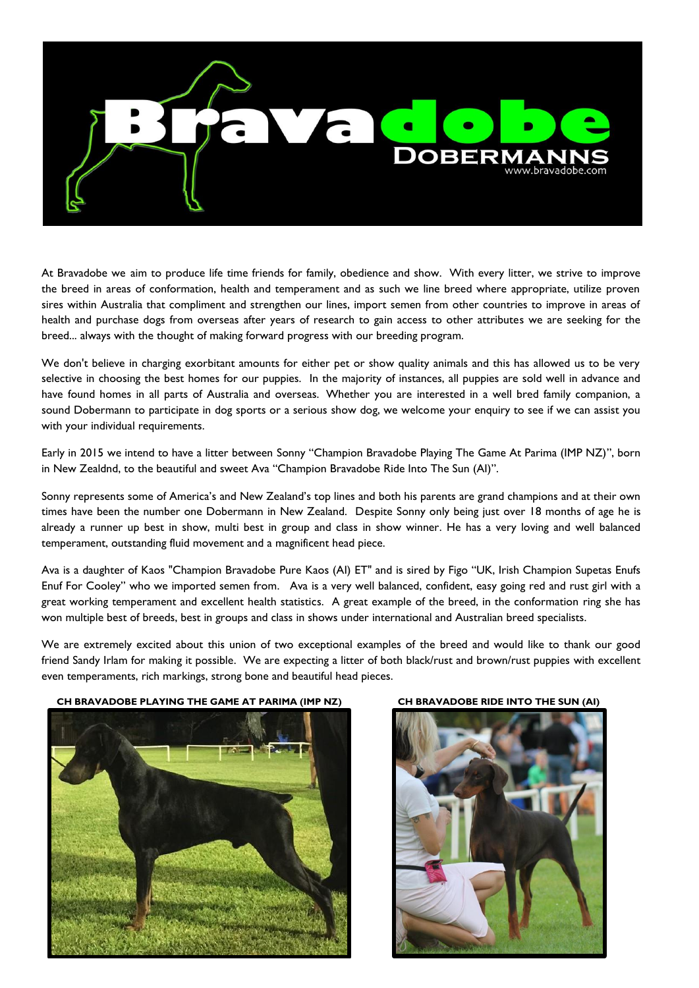

At Bravadobe we aim to produce life time friends for family, obedience and show. With every litter, we strive to improve the breed in areas of conformation, health and temperament and as such we line breed where appropriate, utilize proven sires within Australia that compliment and strengthen our lines, import semen from other countries to improve in areas of health and purchase dogs from overseas after years of research to gain access to other attributes we are seeking for the breed... always with the thought of making forward progress with our breeding program.

We don't believe in charging exorbitant amounts for either pet or show quality animals and this has allowed us to be very selective in choosing the best homes for our puppies. In the majority of instances, all puppies are sold well in advance and have found homes in all parts of Australia and overseas. Whether you are interested in a well bred family companion, a sound Dobermann to participate in dog sports or a serious show dog, we welcome your enquiry to see if we can assist you with your individual requirements.

Early in 2015 we intend to have a litter between Sonny "Champion Bravadobe Playing The Game At Parima (IMP NZ)", born in New Zealdnd, to the beautiful and sweet Ava "Champion Bravadobe Ride Into The Sun (AI)".

Sonny represents some of America's and New Zealand's top lines and both his parents are grand champions and at their own times have been the number one Dobermann in New Zealand. Despite Sonny only being just over 18 months of age he is already a runner up best in show, multi best in group and class in show winner. He has a very loving and well balanced temperament, outstanding fluid movement and a magnificent head piece.

Ava is a daughter of Kaos "Champion Bravadobe Pure Kaos (AI) ET" and is sired by Figo "UK, Irish Champion Supetas Enufs Enuf For Cooley" who we imported semen from. Ava is a very well balanced, confident, easy going red and rust girl with a great working temperament and excellent health statistics. A great example of the breed, in the conformation ring she has won multiple best of breeds, best in groups and class in shows under international and Australian breed specialists.

We are extremely excited about this union of two exceptional examples of the breed and would like to thank our good friend Sandy Irlam for making it possible. We are expecting a litter of both black/rust and brown/rust puppies with excellent even temperaments, rich markings, strong bone and beautiful head pieces.